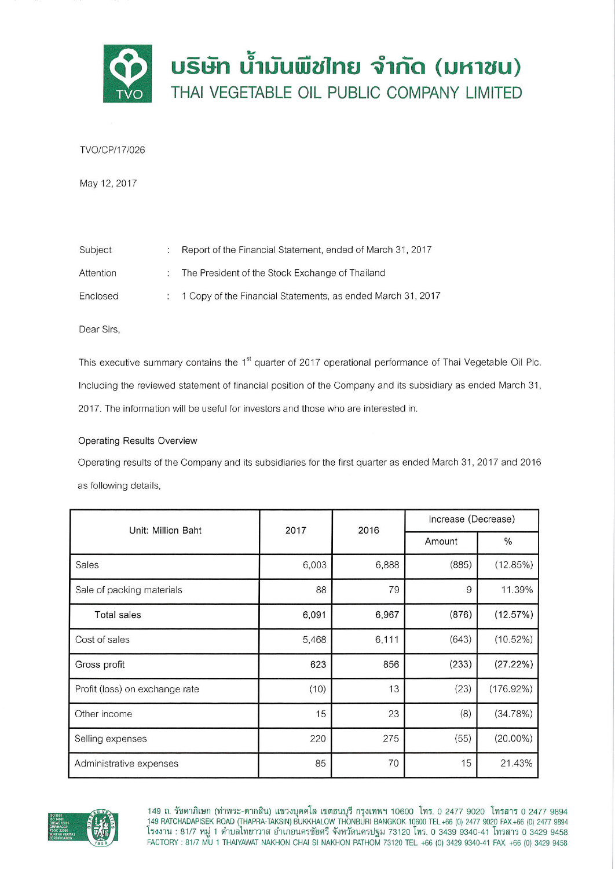

# TVO/CP/17/026

May 12, 2017

| Subject   | Report of the Financial Statement, ended of March 31, 2017  |
|-----------|-------------------------------------------------------------|
| Attention | The President of the Stock Exchange of Thailand             |
| Enclosed  | 1 Copy of the Financial Statements, as ended March 31, 2017 |

Dear Sirs,

This executive summary contains the 1<sup>st</sup> quarter of 2017 operational performance of Thai Vegetable Oil Plc. Including the reviewed statement of financial position of the Company and its subsidiary as ended March 31, 2017. The information will be useful for investors and those who are interested in.

# **Operating Results Overview**

Operating results of the Company and its subsidiaries for the first quarter as ended March 31, 2017 and 2016 as following details,

| Unit: Million Baht             | 2017  | 2016  | Increase (Decrease) |              |
|--------------------------------|-------|-------|---------------------|--------------|
|                                |       |       | Amount              | %            |
| Sales                          | 6,003 | 6,888 | (885)               | (12.85%)     |
| Sale of packing materials      | 88    | 79    | 9                   | 11.39%       |
| <b>Total sales</b>             | 6,091 | 6,967 | (876)               | (12.57%)     |
| Cost of sales                  | 5,468 | 6,111 | (643)               | $(10.52\%)$  |
| Gross profit                   | 623   | 856   | (233)               | (27.22%)     |
| Profit (loss) on exchange rate | (10)  | 13    | (23)                | $(176.92\%)$ |
| Other income                   | 15    | 23    | (8)                 | (34.78%)     |
| Selling expenses               | 220   | 275   | (55)                | $(20.00\%)$  |
| Administrative expenses        | 85    | 70    | 15                  | 21.43%       |



149 ถ. รัชดาภิเษก (ท่าพระ-ตากสิน) แขวงบุคคโล เขตธนบุรี กรุงเทพฯ 10600 โทร. 0 2477 9020 โทรสาร 0 2477 9894<br>149 RATCHADAPISEK ROAD (THAPRA-TAKSIN) BUKKHALOW THONBURI BANGKOK 10600 TEL.+66 (0) 2477 9020 FAX.+66 (0) 2477<br>โรงง FACTORY: 81/7 MU 1 THAIYAWAT NAKHON CHAI SI NAKHON PATHOM 73120 TEL. +66 (0) 3429 9340-41 FAX. +66 (0) 3429 9458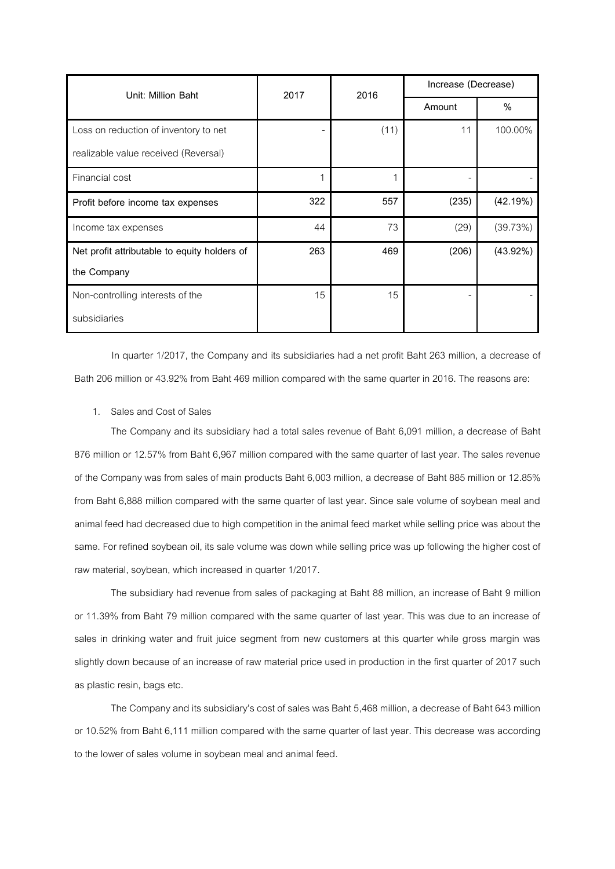| Unit: Million Baht                           | 2017 | 2016 | Increase (Decrease) |             |
|----------------------------------------------|------|------|---------------------|-------------|
|                                              |      |      | Amount              | %           |
| Loss on reduction of inventory to net        |      | (11) | 11                  | 100.00%     |
| realizable value received (Reversal)         |      |      |                     |             |
| Financial cost                               | 1    | 1    |                     |             |
| Profit before income tax expenses            | 322  | 557  | (235)               | (42.19%)    |
| Income tax expenses                          | 44   | 73   | (29)                | (39.73%)    |
| Net profit attributable to equity holders of | 263  | 469  | (206)               | $(43.92\%)$ |
| the Company                                  |      |      |                     |             |
| Non-controlling interests of the             | 15   | 15   |                     |             |
| subsidiaries                                 |      |      |                     |             |

In quarter 1/2017, the Company and its subsidiaries had a net profit Baht 263 million, a decrease of Bath 206 million or 43.92% from Baht 469 million compared with the same quarter in 2016. The reasons are:

1. Sales and Cost of Sales

The Company and its subsidiary had a total sales revenue of Baht 6,091 million, a decrease of Baht 876 million or 12.57% from Baht 6,967 million compared with the same quarter of last year. The sales revenue of the Company was from sales of main products Baht 6,003 million, a decrease of Baht885 million or 12.85% from Baht 6,888 million compared with the same quarter of last year. Since sale volume of soybean meal and animal feed had decreased due to high competition in the animal feed market while selling price was about the same. For refined soybean oil, its sale volume was down while selling price was up following the higher cost of raw material, soybean, which increased in quarter 1/2017.

The subsidiary had revenue from sales of packaging at Baht 88 million, an increase of Baht 9 million or 11.39% from Baht 79 million compared with the same quarter of last year. This was due to an increase of sales in drinking water and fruit juice segment from new customers at this quarter while gross margin was slightly down because of an increase of raw material price used in production in the first quarter of 2017 such as plastic resin, bags etc.

The Company and its subsidiary's cost of sales was Baht 5,468 million, a decrease of Baht 643 million or 10.52% from Baht 6,111 million compared with the same quarter of last year. This decrease was according to the lower of sales volume in soybean meal and animal feed.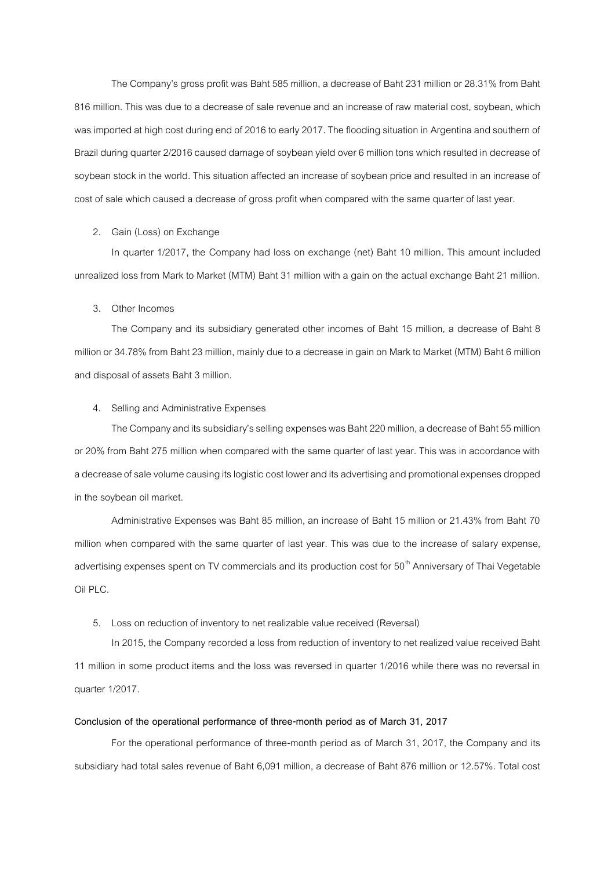The Company's gross profit was Baht 585 million, a decrease of Baht 231 million or 28.31% from Baht 816 million. This was due to a decrease of sale revenue and an increase of raw material cost, soybean, which was imported at high cost during end of 2016 to early 2017. The flooding situation in Argentina and southern of Brazil during quarter 2/2016 caused damage of soybean yield over 6 million tons which resulted in decrease of soybean stock in the world. This situation affected an increase of soybean price and resulted in an increase of cost of sale which caused a decrease of gross profit when compared with the same quarter of last year.

### 2. Gain (Loss) on Exchange

In quarter 1/2017, the Company had loss on exchange (net) Baht 10 million. This amount included unrealized loss from Mark to Market (MTM) Baht 31 million with a gain on the actual exchange Baht 21 million.

#### 3. Other Incomes

The Company and its subsidiary generated other incomes of Baht 15 million, a decrease of Baht 8 million or 34.78% from Baht 23 million, mainly due to a decrease in gainon Mark to Market (MTM) Baht 6 million and disposal of assets Baht 3 million.

### 4. Selling and Administrative Expenses

The Company and its subsidiary's selling expenses was Baht 220 million, a decrease of Baht 55 million or 20% from Baht 275 million when compared with the same quarter of last year. This was in accordance with a decrease of sale volume causing its logistic cost lower and its advertising and promotional expenses dropped in the soybean oil market.

Administrative Expenses was Baht 85 million, an increase of Baht 15 million or 21.43% from Baht 70 million when compared with the same quarter of last year. This was due to the increase of salary expense, advertising expenses spent on TV commercials and its production cost for 50<sup>th</sup> Anniversary of Thai Vegetable Oil PLC.

#### 5. Loss on reduction of inventory to net realizable value received (Reversal)

In 2015, the Company recorded a loss from reduction of inventory to net realized value received Baht 11 million in some product items and the loss was reversed in quarter 1/2016 while there was no reversal in quarter 1/2017.

# **Conclusion of the operational performance of three-month period as of March 31, 2017**

For the operational performance of three-month period as of March 31, 2017, the Company and its subsidiary had total sales revenue of Baht 6,091 million, a decrease of Baht 876 million or 12.57%. Total cost